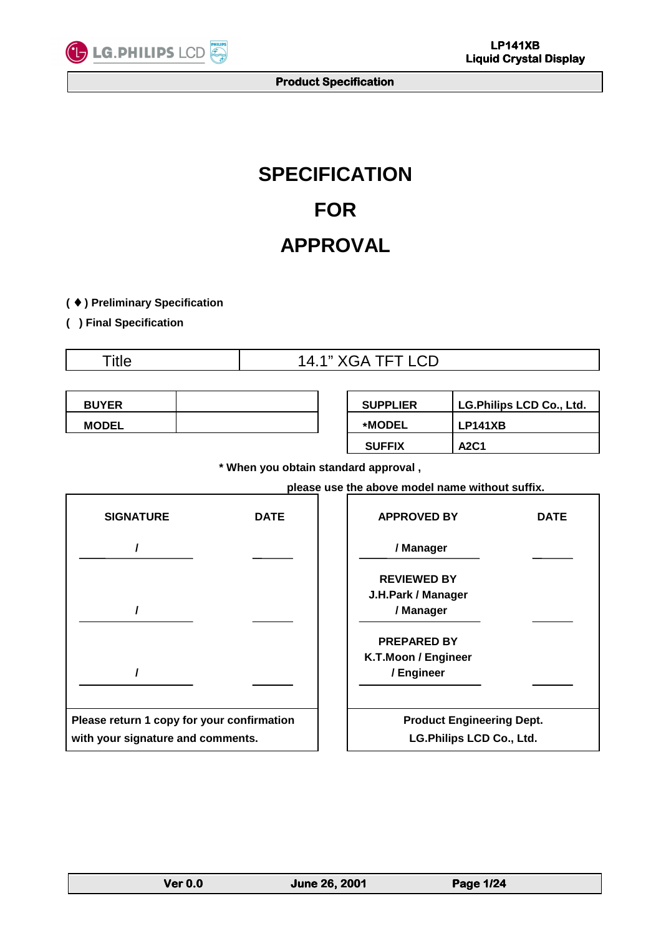

# **SPECIFICATION FOR APPROVAL**

**(** ♦ **) Preliminary Specification** 

## **( ) Final Specification**

L

| <u>I</u> itle | --<br>$\sqrt{ }$<br>$14.1$ AUR II LUD |
|---------------|---------------------------------------|
|---------------|---------------------------------------|

| <b>BUYER</b> | <b>SUPPLIER</b> | LG. Philips LCD Co., Ltd. |
|--------------|-----------------|---------------------------|
| <b>MODEL</b> | ∗MODEL          | <b>LP141XB</b>            |

| <b>BUYER</b> | <b>SUPPLIER</b> | <b>LG.Philips LCD Co., Ltd.</b> |
|--------------|-----------------|---------------------------------|
| <b>MODEL</b> | ∗MODEL          | <b>LP141XB</b>                  |
|              | <b>SUFFIX</b>   | <b>A2C1</b>                     |

 **\* When you obtain standard approval ,** 

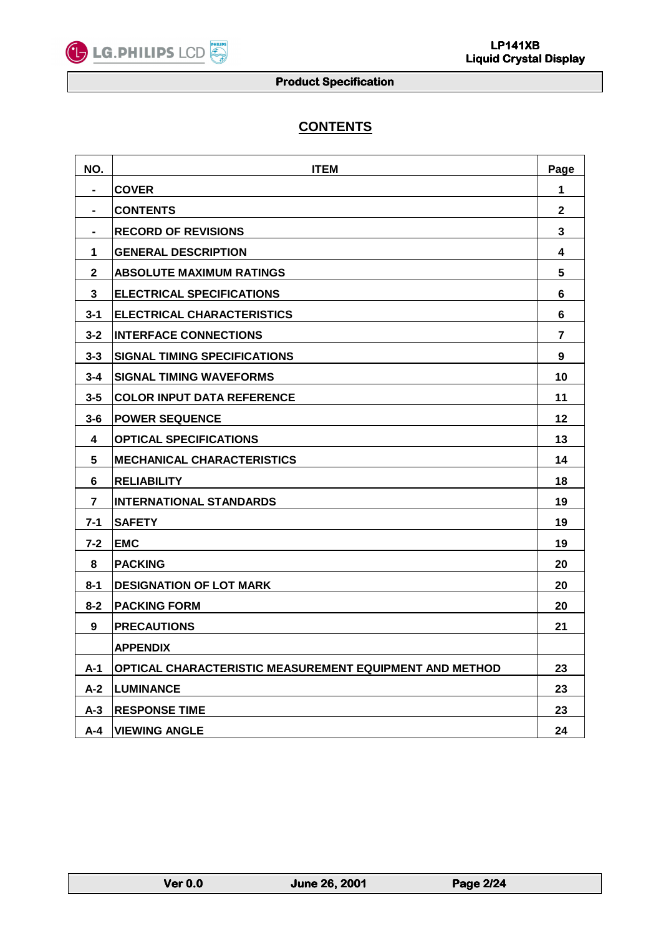

#### **LP141XB Liquid Crystal Display Liquid Crystal Display**

#### **Product Specification**

# **CONTENTS**

| NO.            | <b>ITEM</b>                                             | Page           |
|----------------|---------------------------------------------------------|----------------|
| $\blacksquare$ | <b>COVER</b>                                            | 1              |
|                | <b>CONTENTS</b>                                         | $\mathbf{2}$   |
|                | <b>RECORD OF REVISIONS</b>                              | 3              |
| 1              | <b>GENERAL DESCRIPTION</b>                              | 4              |
| $\mathbf{2}$   | <b>ABSOLUTE MAXIMUM RATINGS</b>                         | 5              |
| 3              | <b>ELECTRICAL SPECIFICATIONS</b>                        | 6              |
| $3 - 1$        | <b>ELECTRICAL CHARACTERISTICS</b>                       | 6              |
| $3 - 2$        | <b>INTERFACE CONNECTIONS</b>                            | $\overline{7}$ |
| $3 - 3$        | <b>SIGNAL TIMING SPECIFICATIONS</b>                     | 9              |
| $3 - 4$        | <b>SIGNAL TIMING WAVEFORMS</b>                          | 10             |
| $3 - 5$        | <b>COLOR INPUT DATA REFERENCE</b>                       | 11             |
| $3 - 6$        | <b>POWER SEQUENCE</b>                                   | 12             |
| 4              | <b>OPTICAL SPECIFICATIONS</b>                           | 13             |
| 5              | <b>MECHANICAL CHARACTERISTICS</b>                       | 14             |
| 6              | <b>RELIABILITY</b>                                      | 18             |
| 7              | <b>INTERNATIONAL STANDARDS</b>                          | 19             |
| $7 - 1$        | <b>SAFETY</b>                                           | 19             |
| $7 - 2$        | <b>EMC</b>                                              | 19             |
| 8              | <b>PACKING</b>                                          | 20             |
| $8 - 1$        | <b>DESIGNATION OF LOT MARK</b>                          | 20             |
| $8 - 2$        | <b>PACKING FORM</b>                                     | 20             |
| 9              | <b>PRECAUTIONS</b>                                      | 21             |
|                | <b>APPENDIX</b>                                         |                |
| $A-1$          | OPTICAL CHARACTERISTIC MEASUREMENT EQUIPMENT AND METHOD | 23             |
| $A-2$          | <b>LUMINANCE</b>                                        | 23             |
| $A-3$          | <b>RESPONSE TIME</b>                                    | 23             |
| A-4            | <b>VIEWING ANGLE</b>                                    | 24             |

L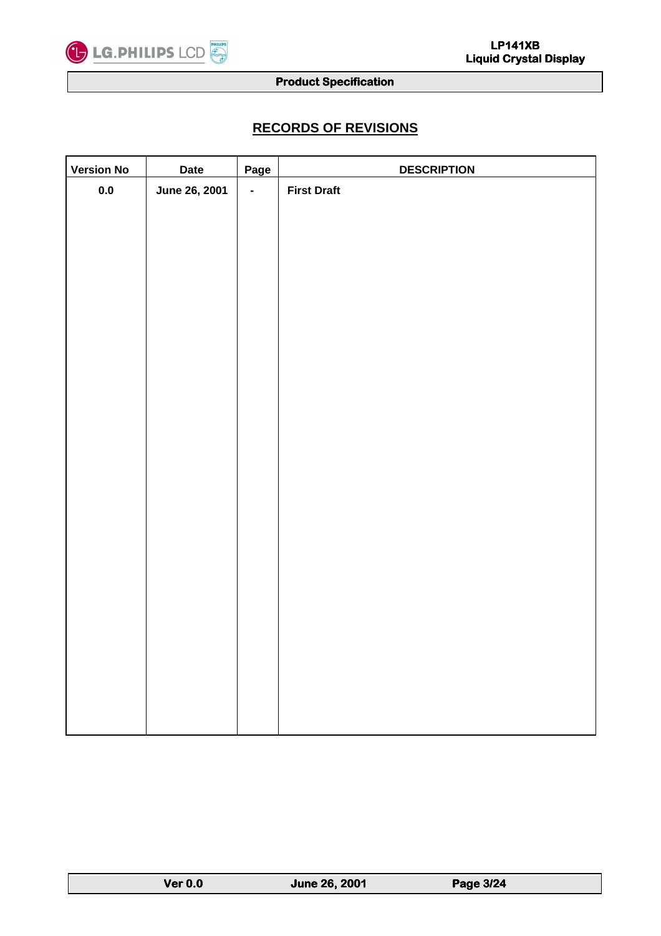

# **RECORDS OF REVISIONS**

| <b>Version No</b> | Date                 | Page           | <b>DESCRIPTION</b> |
|-------------------|----------------------|----------------|--------------------|
| $\mathbf{0.0}$    | <b>June 26, 2001</b> | $\blacksquare$ | <b>First Draft</b> |
|                   |                      |                |                    |
|                   |                      |                |                    |
|                   |                      |                |                    |
|                   |                      |                |                    |
|                   |                      |                |                    |
|                   |                      |                |                    |
|                   |                      |                |                    |
|                   |                      |                |                    |
|                   |                      |                |                    |
|                   |                      |                |                    |
|                   |                      |                |                    |
|                   |                      |                |                    |
|                   |                      |                |                    |
|                   |                      |                |                    |
|                   |                      |                |                    |
|                   |                      |                |                    |
|                   |                      |                |                    |
|                   |                      |                |                    |
|                   |                      |                |                    |
|                   |                      |                |                    |
|                   |                      |                |                    |
|                   |                      |                |                    |
|                   |                      |                |                    |
|                   |                      |                |                    |
|                   |                      |                |                    |
|                   |                      |                |                    |

| <b>Ver 0.0</b> | <b>June 26, 2001</b> | <b>Page 3/24</b> |  |
|----------------|----------------------|------------------|--|
|                |                      |                  |  |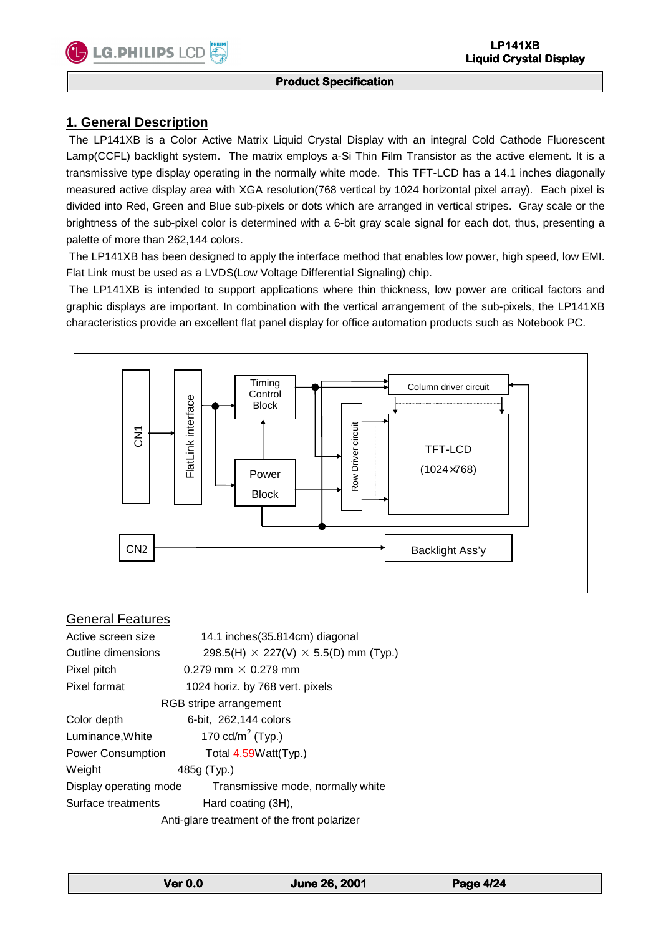# **1. General Description**

**LG.PHILIPS LCD** 

X

 The LP141XB is a Color Active Matrix Liquid Crystal Display with an integral Cold Cathode Fluorescent Lamp(CCFL) backlight system. The matrix employs a-Si Thin Film Transistor as the active element. It is a transmissive type display operating in the normally white mode. This TFT-LCD has a 14.1 inches diagonally measured active display area with XGA resolution(768 vertical by 1024 horizontal pixel array). Each pixel is divided into Red, Green and Blue sub-pixels or dots which are arranged in vertical stripes. Gray scale or the brightness of the sub-pixel color is determined with a 6-bit gray scale signal for each dot, thus, presenting a palette of more than 262,144 colors.

 The LP141XB has been designed to apply the interface method that enables low power, high speed, low EMI. Flat Link must be used as a LVDS(Low Voltage Differential Signaling) chip.

 The LP141XB is intended to support applications where thin thickness, low power are critical factors and graphic displays are important. In combination with the vertical arrangement of the sub-pixels, the LP141XB characteristics provide an excellent flat panel display for office automation products such as Notebook PC.



# General Features

L

| Active screen size                          | 14.1 inches(35.814cm) diagonal                     |  |  |  |
|---------------------------------------------|----------------------------------------------------|--|--|--|
| Outline dimensions                          | 298.5(H) $\times$ 227(V) $\times$ 5.5(D) mm (Typ.) |  |  |  |
| Pixel pitch                                 | 0.279 mm $\times$ 0.279 mm                         |  |  |  |
| Pixel format                                | 1024 horiz. by 768 vert. pixels                    |  |  |  |
|                                             | RGB stripe arrangement                             |  |  |  |
| Color depth                                 | 6-bit, 262,144 colors                              |  |  |  |
| Luminance, White                            | 170 cd/m <sup>2</sup> (Typ.)                       |  |  |  |
| <b>Power Consumption</b>                    | Total 4.59Watt(Typ.)                               |  |  |  |
| Weight<br>485g (Typ.)                       |                                                    |  |  |  |
| Display operating mode                      | Transmissive mode, normally white                  |  |  |  |
| Surface treatments                          | Hard coating (3H),                                 |  |  |  |
| Anti-glare treatment of the front polarizer |                                                    |  |  |  |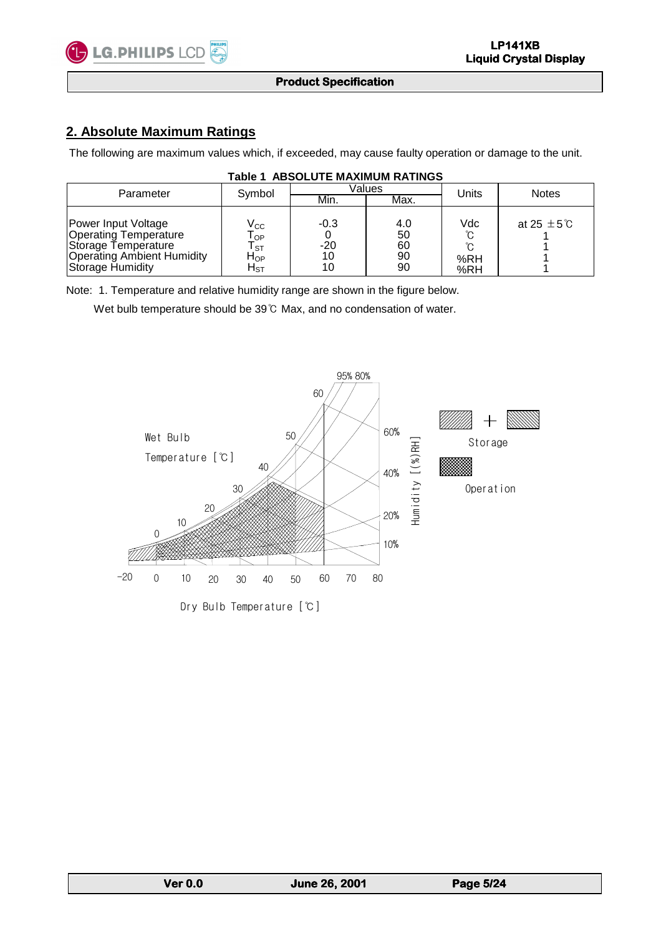

L

#### **Product Specification**

# **2. Absolute Maximum Ratings**

The following are maximum values which, if exceeded, may cause faulty operation or damage to the unit.

| Parameter                                                                                                                           | Symbol                                                                               |                             | Values                      | Units             | <b>Notes</b>              |
|-------------------------------------------------------------------------------------------------------------------------------------|--------------------------------------------------------------------------------------|-----------------------------|-----------------------------|-------------------|---------------------------|
|                                                                                                                                     |                                                                                      | Min.                        | Max.                        |                   |                           |
| Power Input Voltage<br><b>Operating Temperature</b><br>Storage Temperature<br><b>Operating Ambient Humidity</b><br>Storage Humidity | $V_{\rm CC}$<br>$\mathsf{T}_{\mathsf{OP}}$<br>l st<br>${\sf H}_{\sf OP}$<br>$H_{ST}$ | $-0.3$<br>$-20$<br>10<br>10 | 4.0<br>50<br>60<br>90<br>90 | Vdc<br>%RH<br>%RH | at 25 $\pm$ 5 $\degree$ C |

#### **Table 1 ABSOLUTE MAXIMUM RATINGS**

Note: 1. Temperature and relative humidity range are shown in the figure below.

Wet bulb temperature should be 39℃ Max, and no condensation of water.



| <b>Ver 0.0</b> | <b>June 26, 2001</b> | Page 5/24 |
|----------------|----------------------|-----------|
|                |                      |           |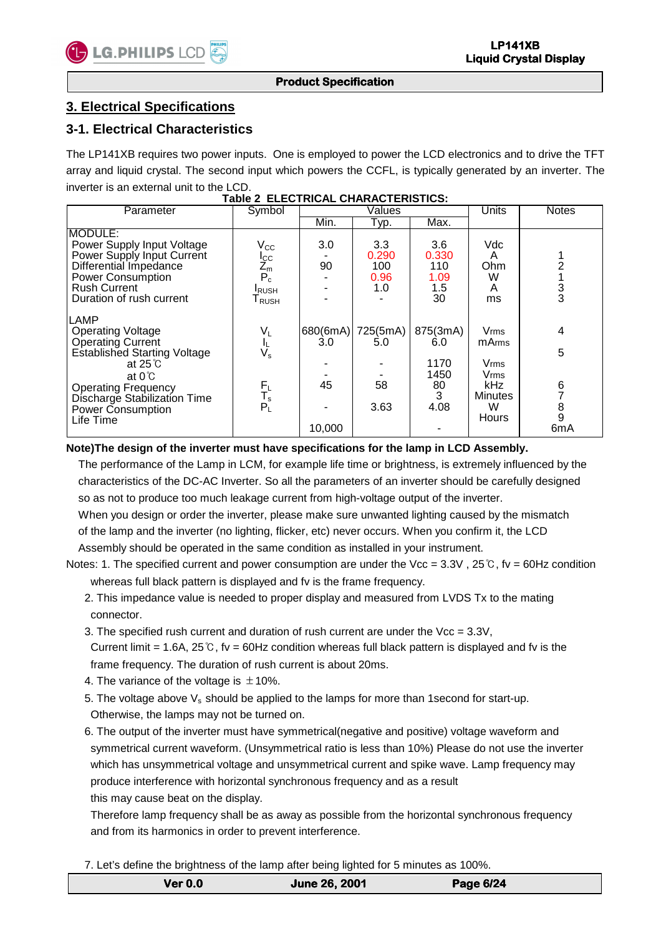X

#### **Product Specification**

## **3. Electrical Specifications**

## **3-1. Electrical Characteristics**

The LP141XB requires two power inputs. One is employed to power the LCD electronics and to drive the TFT array and liquid crystal. The second input which powers the CCFL, is typically generated by an inverter. The inverter is an external unit to the LCD.

|                                     |                           |          | LLLVIINVAL VIIANAVILNIVIIVV. |          |                |              |
|-------------------------------------|---------------------------|----------|------------------------------|----------|----------------|--------------|
| Parameter                           | Symbol                    |          | Values                       |          | Units          | <b>Notes</b> |
|                                     |                           | Min.     | <u>Тур.</u>                  | Max.     |                |              |
| MODULE:                             |                           |          |                              |          |                |              |
| Power Supply Input Voltage          | $\rm V_{CC}$              | 3.0      | 3.3                          | 3.6      | Vdc            |              |
| Power Supply Input Current          | $_{\rm{ICC}}$             |          | 0.290                        | 0.330    | A              |              |
| Differential Impedance              | $\mathsf{Z}_{\mathsf{m}}$ | 90       | 100                          | 110      | Ohm            |              |
| <b>Power Consumption</b>            | $P_c^-$                   |          | 0.96                         | 1.09     | W              |              |
| <b>Rush Current</b>                 | <b>I</b> RUSH             |          | 1.0                          | 1.5      | A              | 3<br>3       |
| Duration of rush current            | $\Gamma_{\text{RUSH}}$    |          |                              | 30       | ms             |              |
| <b>LAMP</b>                         |                           |          |                              |          |                |              |
| <b>Operating Voltage</b>            | $V_L$                     | 680(6mA) | 725(5mA)                     | 875(3mA) | Vrms           | 4            |
| Operating Current                   |                           | 3.0      | 5.0                          | 6.0      | <b>mArms</b>   |              |
| <b>Established Starting Voltage</b> | $V_s$                     |          |                              |          |                | 5            |
| at $25^\circ$ C                     |                           |          |                              | 1170     | Vrms           |              |
| at $0^{\circ}$ C                    |                           |          |                              | 1450     | Vrms           |              |
| <b>Operating Frequency</b>          | $F_L$<br>$P_L$            | 45       | 58                           | 80       | kHz            | 6            |
| Discharge Stabilization Time        |                           |          |                              | 3        | <b>Minutes</b> |              |
| Power Consumption                   |                           |          | 3.63                         | 4.08     | W              | 8            |
| Life Time                           |                           |          |                              |          | <b>Hours</b>   | 9            |
|                                     |                           | 10,000   |                              |          |                | 6mA          |

#### **Table 2 ELECTRICAL CHARACTERISTICS:**

**Note)The design of the inverter must have specifications for the lamp in LCD Assembly.** 

 The performance of the Lamp in LCM, for example life time or brightness, is extremely influenced by the characteristics of the DC-AC Inverter. So all the parameters of an inverter should be carefully designed so as not to produce too much leakage current from high-voltage output of the inverter.

 When you design or order the inverter, please make sure unwanted lighting caused by the mismatch of the lamp and the inverter (no lighting, flicker, etc) never occurs. When you confirm it, the LCD Assembly should be operated in the same condition as installed in your instrument.

Notes: 1. The specified current and power consumption are under the Vcc =  $3.3V$ ,  $25°C$ , fv =  $60Hz$  condition

whereas full black pattern is displayed and fv is the frame frequency.

- 2. This impedance value is needed to proper display and measured from LVDS Tx to the mating connector.
- 3. The specified rush current and duration of rush current are under the  $Vec = 3.3V$ ,

Current limit = 1.6A, 25  $\degree$ , fv = 60Hz condition whereas full black pattern is displayed and fv is the frame frequency. The duration of rush current is about 20ms.

4. The variance of the voltage is  $\pm$  10%.

5. The voltage above  $V_s$  should be applied to the lamps for more than 1 second for start-up. Otherwise, the lamps may not be turned on.

 6. The output of the inverter must have symmetrical(negative and positive) voltage waveform and symmetrical current waveform. (Unsymmetrical ratio is less than 10%) Please do not use the inverter which has unsymmetrical voltage and unsymmetrical current and spike wave. Lamp frequency may produce interference with horizontal synchronous frequency and as a result this may cause beat on the display.

 Therefore lamp frequency shall be as away as possible from the horizontal synchronous frequency and from its harmonics in order to prevent interference.

7. Let's define the brightness of the lamp after being lighted for 5 minutes as 100%.

| <b>Ver 0.0</b> | <b>June 26, 2001</b> | <b>Page 6/24</b> |
|----------------|----------------------|------------------|
|                |                      |                  |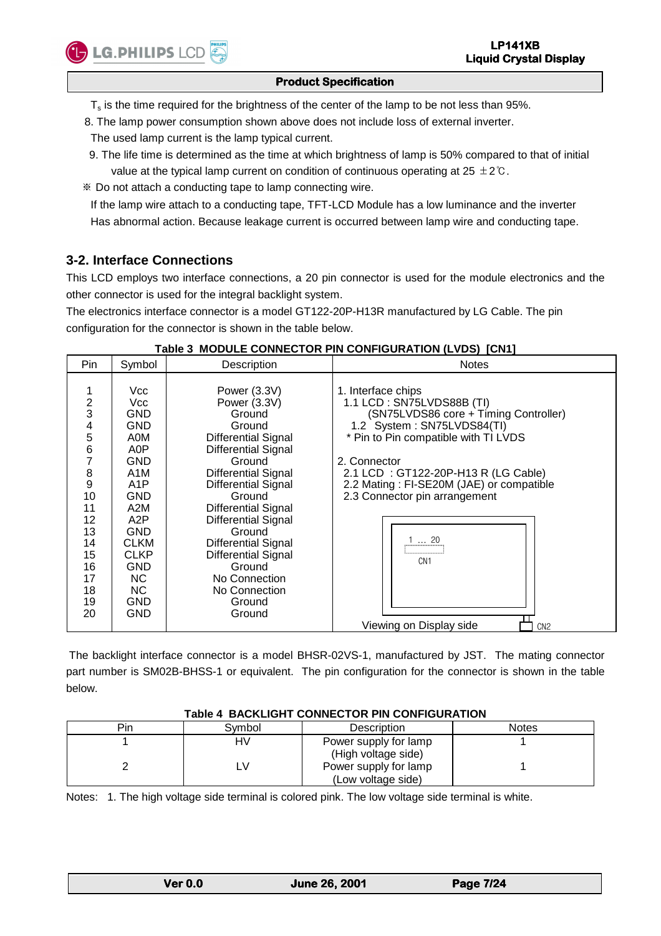X

L

#### **Product Specification**

 $T_s$  is the time required for the brightness of the center of the lamp to be not less than 95%.

- 8. The lamp power consumption shown above does not include loss of external inverter.
- The used lamp current is the lamp typical current.
- 9. The life time is determined as the time at which brightness of lamp is 50% compared to that of initial value at the typical lamp current on condition of continuous operating at  $25 \pm 2°C$ .
- ※ Do not attach a conducting tape to lamp connecting wire.

 If the lamp wire attach to a conducting tape, TFT-LCD Module has a low luminance and the inverter Has abnormal action. Because leakage current is occurred between lamp wire and conducting tape.

# **3-2. Interface Connections**

This LCD employs two interface connections, a 20 pin connector is used for the module electronics and the other connector is used for the integral backlight system.

The electronics interface connector is a model GT122-20P-H13R manufactured by LG Cable. The pin configuration for the connector is shown in the table below.

|                                                                                                                                  |                                                                                                                                                                                                                                            |                                                                                                                                                                                                                                                                                                                                                      | Table 3  MODULE CONNECTOR PIN CONFIGURATION (LVDS)  [CN1]                                                                                                                                                                                                                                                                               |
|----------------------------------------------------------------------------------------------------------------------------------|--------------------------------------------------------------------------------------------------------------------------------------------------------------------------------------------------------------------------------------------|------------------------------------------------------------------------------------------------------------------------------------------------------------------------------------------------------------------------------------------------------------------------------------------------------------------------------------------------------|-----------------------------------------------------------------------------------------------------------------------------------------------------------------------------------------------------------------------------------------------------------------------------------------------------------------------------------------|
| Pin                                                                                                                              | Symbol                                                                                                                                                                                                                                     | Description                                                                                                                                                                                                                                                                                                                                          | <b>Notes</b>                                                                                                                                                                                                                                                                                                                            |
| $\frac{2}{3}$<br>$\overline{\mathbf{4}}$<br>5<br>6<br>8<br>$9$<br>10<br>11<br>12<br>13<br>14<br>15<br>16<br>17<br>18<br>19<br>20 | Vcc<br>Vcc<br><b>GND</b><br><b>GND</b><br>A0M<br>A0P<br><b>GND</b><br>A <sub>1</sub> M<br>A <sub>1</sub> P<br><b>GND</b><br>A2M<br>A2P<br><b>GND</b><br><b>CLKM</b><br><b>CLKP</b><br><b>GND</b><br>NC.<br>NC.<br><b>GND</b><br><b>GND</b> | Power (3.3V)<br>Power (3.3V)<br>Ground<br>Ground<br>Differential Signal<br><b>Differential Signal</b><br>Ground<br>Differential Signal<br>Differential Signal<br>Ground<br><b>Differential Signal</b><br>Differential Signal<br>Ground<br>Differential Signal<br>Differential Signal<br>Ground<br>No Connection<br>No Connection<br>Ground<br>Ground | 1. Interface chips<br>1.1 LCD: SN75LVDS88B (TI)<br>(SN75LVDS86 core + Timing Controller)<br>1.2 System: SN75LVDS84(TI)<br>* Pin to Pin compatible with TI LVDS<br>2. Connector<br>2.1 LCD: GT122-20P-H13 R (LG Cable)<br>2.2 Mating: FI-SE20M (JAE) or compatible<br>2.3 Connector pin arrangement<br><u>20</u><br>i<br>CN <sub>1</sub> |
|                                                                                                                                  |                                                                                                                                                                                                                                            |                                                                                                                                                                                                                                                                                                                                                      | Viewing on Display side<br>CN <sub>2</sub>                                                                                                                                                                                                                                                                                              |

**Table 3 MODULE CONNECTOR PIN CONFIGURATION (LVDS) [CN1]** 

 The backlight interface connector is a model BHSR-02VS-1, manufactured by JST. The mating connector part number is SM02B-BHSS-1 or equivalent. The pin configuration for the connector is shown in the table below.

# **Table 4 BACKLIGHT CONNECTOR PIN CONFIGURATION**

| Pin | Svmbol | <b>Description</b>    | <b>Notes</b> |
|-----|--------|-----------------------|--------------|
|     | HV     | Power supply for lamp |              |
|     |        | (High voltage side)   |              |
|     |        | Power supply for lamp |              |
|     |        | (Low voltage side)    |              |

Notes: 1. The high voltage side terminal is colored pink. The low voltage side terminal is white.

| Ver $0.0$ | <b>June 26, 2001</b> | Page 7/24 |
|-----------|----------------------|-----------|
|           |                      |           |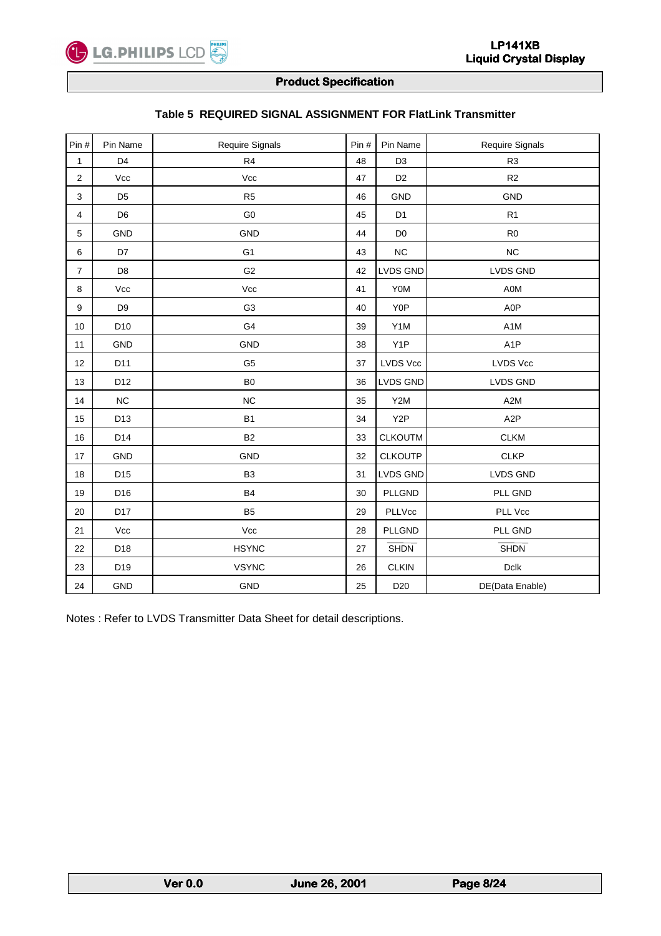

#### **Table 5 REQUIRED SIGNAL ASSIGNMENT FOR FlatLink Transmitter**

| Pin #          | Pin Name        | Require Signals | Pin # | Pin Name         | Require Signals  |
|----------------|-----------------|-----------------|-------|------------------|------------------|
| 1              | D <sub>4</sub>  | R4              | 48    | D <sub>3</sub>   | R <sub>3</sub>   |
| $\overline{c}$ | Vcc             | Vcc             | 47    | D <sub>2</sub>   | R2               |
| 3              | D <sub>5</sub>  | R <sub>5</sub>  | 46    | <b>GND</b>       | <b>GND</b>       |
| 4              | D <sub>6</sub>  | ${\mathsf G0}$  | 45    | D <sub>1</sub>   | R1               |
| 5              | GND             | <b>GND</b>      | 44    | D <sub>0</sub>   | R <sub>0</sub>   |
| 6              | D7              | G <sub>1</sub>  | 43    | <b>NC</b>        | NC               |
| $\overline{7}$ | D <sub>8</sub>  | G <sub>2</sub>  | 42    | LVDS GND         | LVDS GND         |
| 8              | Vcc             | Vcc             | 41    | <b>YOM</b>       | A0M              |
| 9              | D <sub>9</sub>  | G <sub>3</sub>  | 40    | Y0P              | A0P              |
| 10             | D <sub>10</sub> | G4              | 39    | Y1M              | A <sub>1</sub> M |
| 11             | GND             | GND             | 38    | Y <sub>1</sub> P | A <sub>1</sub> P |
| 12             | D11             | G <sub>5</sub>  | 37    | LVDS Vcc         | LVDS Vcc         |
| 13             | D12             | B <sub>0</sub>  | 36    | LVDS GND         | LVDS GND         |
| 14             | $NC$            | NC              | 35    | Y2M              | A <sub>2</sub> M |
| 15             | D13             | <b>B1</b>       | 34    | Y <sub>2</sub> P | A <sub>2</sub> P |
| 16             | D14             | <b>B2</b>       | 33    | <b>CLKOUTM</b>   | <b>CLKM</b>      |
| 17             | GND             | <b>GND</b>      | 32    | <b>CLKOUTP</b>   | <b>CLKP</b>      |
| 18             | D <sub>15</sub> | B <sub>3</sub>  | 31    | LVDS GND         | LVDS GND         |
| 19             | D16             | <b>B4</b>       | 30    | PLLGND           | PLL GND          |
| 20             | D17             | B <sub>5</sub>  | 29    | PLLVcc           | PLL Vcc          |
| 21             | Vcc             | Vcc             | 28    | PLLGND           | PLL GND          |
| 22             | D18             | <b>HSYNC</b>    | 27    | <b>SHDN</b>      | <b>SHDN</b>      |
| 23             | D19             | <b>VSYNC</b>    | 26    | <b>CLKIN</b>     | <b>Dclk</b>      |
| 24             | GND             | <b>GND</b>      | 25    | D <sub>20</sub>  | DE(Data Enable)  |

Notes : Refer to LVDS Transmitter Data Sheet for detail descriptions.

L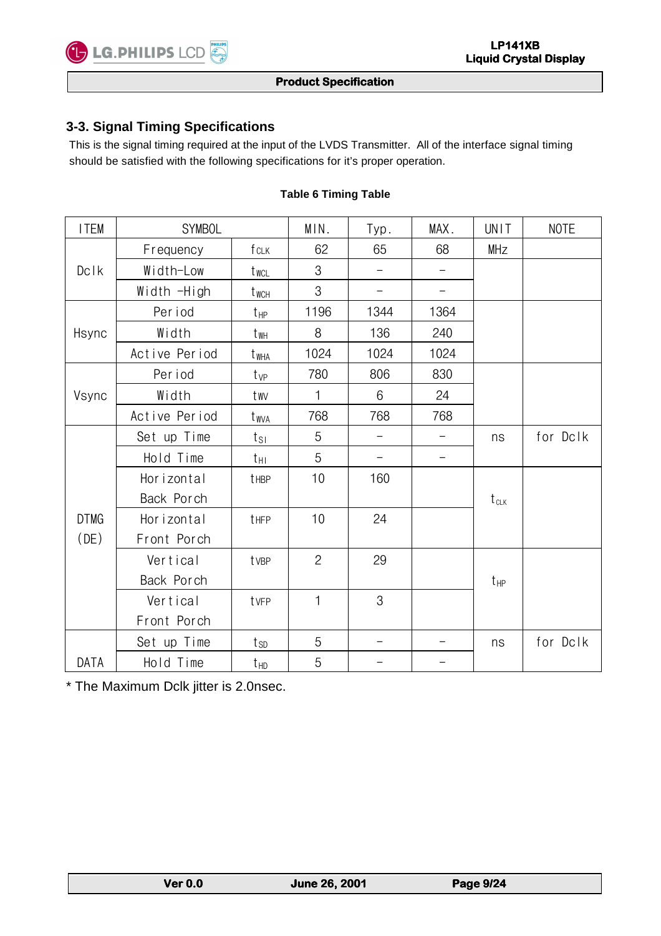

# **3-3. Signal Timing Specifications**

 This is the signal timing required at the input of the LVDS Transmitter. All of the interface signal timing should be satisfied with the following specifications for it's proper operation.

| <b>ITEM</b> | <b>SYMBOL</b> |                               | MIN.           | Typ.              | MAX.                     | <b>UNIT</b> | <b>NOTE</b> |
|-------------|---------------|-------------------------------|----------------|-------------------|--------------------------|-------------|-------------|
|             | Frequency     | fclk                          | 62             | 65                | 68                       | MHz         |             |
| Dclk        | Width-Low     | $t_{\texttt{WCL}}$            | 3              |                   | $\overline{\phantom{0}}$ |             |             |
|             | Width -High   | $t_{WCH}$                     | 3              |                   | $\qquad \qquad -$        |             |             |
|             | Per iod       | $t_{HP}$                      | 1196           | 1344              | 1364                     |             |             |
| Hsync       | Width         | t <sub>wh</sub>               | 8              | 136               | 240                      |             |             |
|             | Active Period | t <sub>WHA</sub>              | 1024           | 1024              | 1024                     |             |             |
|             | Per iod       | t <sub>VP</sub>               | 780            | 806               | 830                      |             |             |
| Vsync       | Width         | twv                           | 1              | 6                 | 24                       |             |             |
|             | Active Period | twva                          | 768            | 768               | 768                      |             |             |
|             | Set up Time   | $t_{\scriptstyle\textrm{SI}}$ | 5              |                   | $\qquad \qquad -$        | ns          | for Dclk    |
|             | Hold Time     | $t_{\rm HI}$                  | 5              | $\qquad \qquad -$ | $\qquad \qquad -$        |             |             |
|             | Horizontal    | tHBP                          | 10             | 160               |                          |             |             |
|             | Back Porch    |                               |                |                   |                          | $t_{CLK}$   |             |
| <b>DTMG</b> | Horizontal    | tHFP                          | 10             | 24                |                          |             |             |
| (DE)        | Front Porch   |                               |                |                   |                          |             |             |
|             | Vertical      | tvBP                          | $\overline{2}$ | 29                |                          |             |             |
|             | Back Porch    |                               |                |                   |                          | $t_{HP}$    |             |
|             | Vertical      | tvFP                          | $\mathbf 1$    | 3                 |                          |             |             |
|             | Front Porch   |                               |                |                   |                          |             |             |
|             | Set up Time   | $t_{SD}$                      | 5              |                   |                          | ns          | for Dclk    |
| DATA        | Hold Time     | $t_{HD}$                      | 5              |                   |                          |             |             |

## **Table 6 Timing Table**

\* The Maximum Dclk jitter is 2.0nsec.

L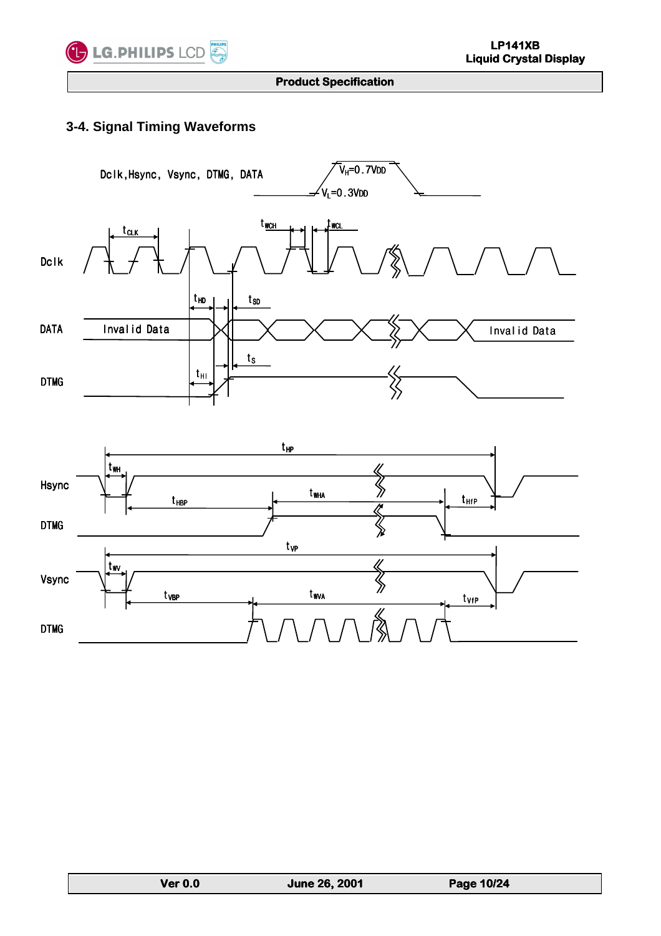

# **3-4. Signal Timing Waveforms**





| <b>Ver 0.0</b> | <b>June 26, 2001</b> | Page 10/24 |
|----------------|----------------------|------------|
|                |                      |            |

L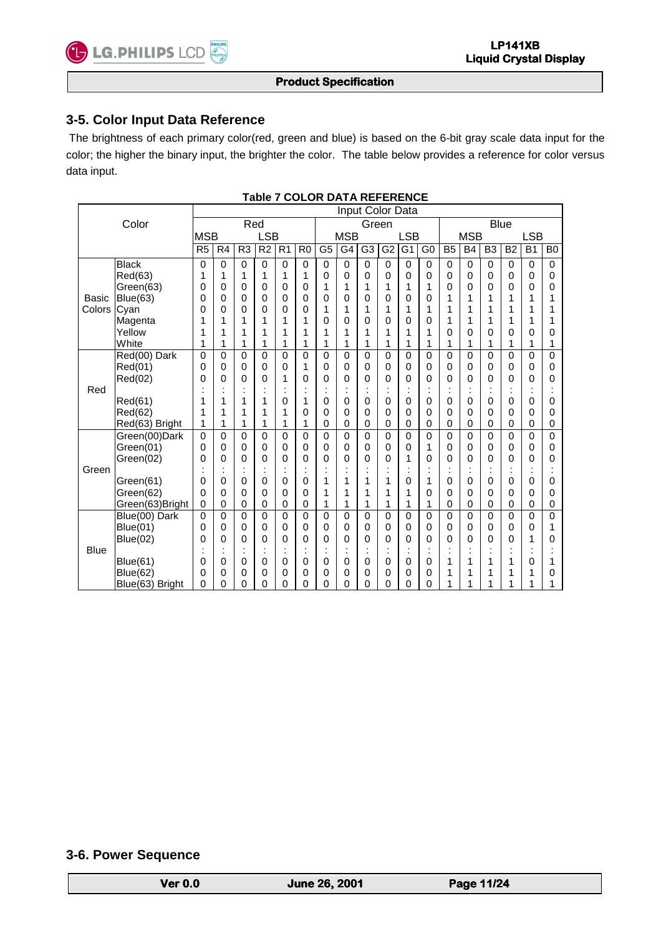

## **3-5. Color Input Data Reference**

 The brightness of each primary color(red, green and blue) is based on the 6-bit gray scale data input for the color; the higher the binary input, the brighter the color. The table below provides a reference for color versus data input.

|              |                           | Input Color Data |                |                     |                |                |                        |                |             |                    |                |                |                |                |                                  |                |                |                          |                |
|--------------|---------------------------|------------------|----------------|---------------------|----------------|----------------|------------------------|----------------|-------------|--------------------|----------------|----------------|----------------|----------------|----------------------------------|----------------|----------------|--------------------------|----------------|
|              | Color                     | Red              |                |                     | Green          |                |                        |                | <b>Blue</b> |                    |                |                |                |                |                                  |                |                |                          |                |
|              |                           | <b>MSB</b>       |                |                     | <b>LSB</b>     |                |                        |                | <b>MSB</b>  |                    |                | <b>LSB</b>     |                |                | <b>MSB</b>                       |                |                | <b>LSB</b>               |                |
|              |                           | R <sub>5</sub>   | R <sub>4</sub> | R <sub>3</sub>      | R <sub>2</sub> | R <sub>1</sub> | R <sub>0</sub>         | G <sub>5</sub> | G4          | G <sub>3</sub>     | G <sub>2</sub> | G <sub>1</sub> | G <sub>0</sub> | B <sub>5</sub> | <b>B4</b>                        | B <sub>3</sub> | B <sub>2</sub> | B <sub>1</sub>           | B <sub>0</sub> |
|              | <b>Black</b>              | $\Omega$         | $\mathbf{0}$   | $\Omega$            | $\Omega$       | 0              | $\Omega$               | $\Omega$       | $\Omega$    | $\Omega$           | $\Omega$       | $\Omega$       | $\mathbf 0$    | $\Omega$       | $\mathbf{0}$                     | 0              | $\Omega$       | $\Omega$                 | 0              |
|              | Red(63)                   | 1                | 1              | 1                   | 1              | 1              | 1                      | 0              | 0           | 0                  | 0              | 0              | $\mathbf 0$    | 0              | 0                                | 0              | 0              | $\Omega$                 | 0              |
|              | Green(63)                 | 0                | 0              | 0                   | $\mathbf 0$    | 0              | 0                      | 1              | 1           | 1                  | 1              | 1              | 1              | 0              | 0                                | 0              | 0              | $\Omega$                 | 0              |
| <b>Basic</b> | <b>Blue(63)</b>           | 0                | 0              | 0                   | $\mathbf 0$    | 0              | 0                      | 0              | 0           | 0                  | 0              | 0              | 0              | 1              | 1                                | 1              | 1              | 1                        | 1              |
| Colors       | Cyan                      | 0                | 0              | 0                   | $\Omega$       | 0              | 0                      | 1              | 1           | 1                  | 1              | 1              | 1              | 1              | 1                                | 1              | 1              | 1                        |                |
|              | Magenta                   |                  | 1              | 1                   | 1              | 1              | 1                      | 0              | 0           | 0                  | 0              | 0              | 0              | 1              | 1                                | 1              | 1              | 1                        | 1              |
|              | Yellow                    |                  | 1              | 1                   | 1              | 1              | 1                      | 1              | 1           | 1                  | 1              |                | 1              | 0              | 0                                | 0              | 0              | 0                        | 0              |
|              | White                     | 1                | 1              | 1                   | 1              | 1              | 1                      | 1              | 1           | 1                  | 1              | 1              | 1              | 1              | 1                                | 1              | 1              | 1                        | 1              |
|              | Red(00) Dark              | 0                | $\mathbf 0$    | 0                   | $\Omega$       | 0              | 0                      | $\mathbf 0$    | 0           | 0                  | $\mathbf 0$    | 0              | 0              | 0              | $\mathbf 0$                      | 0              | 0              | $\mathbf 0$              | 0              |
|              | Red(01)                   | 0                | 0              | 0                   | $\mathbf 0$    | 0              | 1                      | 0              | 0           | 0                  | 0              | 0              | $\mathbf 0$    | 0              | 0                                | 0              | 0              | 0                        | 0              |
|              | Red(02)                   | 0                | 0              | 0                   | $\Omega$       | 1<br>٠         | 0                      | 0              | 0           | 0<br>$\bullet$     | 0              | 0              | 0              | 0              | 0<br>$\blacksquare$              | 0              | 0              | $\Omega$                 | 0              |
| Red          |                           |                  |                |                     |                | $\cdot$        | ٠                      |                |             | $\cdot$            |                |                | ٠<br>٠         |                | $\cdot$                          |                |                |                          |                |
|              | Red(61)                   | 1<br>1           | 1<br>1         | 1<br>1              | 1              | 0<br>1         | 1<br>0                 | 0              | 0<br>0      | 0<br>0             | 0<br>0         | 0<br>0         | 0              | 0<br>0         | 0                                | 0<br>0         | 0              | $\Omega$<br>$\mathbf{0}$ | 0              |
|              | Red(62)<br>Red(63) Bright | 1                | 1              | 1                   | 1<br>1         | 1              | 1                      | 0<br>0         | 0           | 0                  | 0              | 0              | 0<br>0         | 0              | 0<br>0                           | 0              | 0<br>0         | $\mathbf 0$              | 0<br>0         |
|              | Green(00)Dark             | 0                | $\Omega$       | 0                   | $\mathbf 0$    | 0              | 0                      | $\Omega$       | $\Omega$    | $\mathbf 0$        | $\mathbf 0$    | 0              | 0              | $\Omega$       | $\mathbf 0$                      | 0              | 0              | $\Omega$                 | 0              |
|              | Green(01)                 | 0                | 0              | 0                   | $\Omega$       | 0              | 0                      | 0              | 0           | 0                  | 0              | 0              | 1              | 0              | $\mathbf 0$                      | 0              | 0              | 0                        | 0              |
|              | Green(02)                 | 0                | 0              | 0                   | $\Omega$       | 0              | 0                      | $\Omega$       | 0           | 0                  | 0              | 1              | 0              | 0              | 0                                | 0              | 0              | $\Omega$                 | 0              |
| Green        |                           |                  | ٠              |                     |                | ٠              |                        |                |             | $\cdot$            | ٠              |                | $\cdot$        |                | $\blacksquare$                   | $\blacksquare$ |                |                          |                |
|              | Green(61)                 | 0                | 0              | 0                   | $\mathbf 0$    | ٠<br>0         | 0                      | 1              | 1           | 1                  | 1              | 0              | ٠<br>1         | 0              | $\cdot$<br>0                     | 0              | 0              | 0                        | 0              |
|              | Green(62)                 | 0                | 0              | 0                   | $\Omega$       | 0              | 0                      | 1              | 1           | 1                  | 1              | 1              | 0              | 0              | 0                                | 0              | 0              | 0                        | 0              |
|              | Green(63)Bright           | $\mathbf 0$      | 0              | 0                   | $\mathbf 0$    | 0              | $\mathbf 0$            | 1              | 1           | 1                  | 1              | 1              | 1              | 0              | $\mathbf 0$                      | 0              | 0              | $\mathbf 0$              | 0              |
|              | Blue(00) Dark             | 0                | 0              | 0                   | $\Omega$       | 0              | 0                      | $\mathbf 0$    | 0           | 0                  | 0              | 0              | 0              | 0              | 0                                | 0              | 0              | $\Omega$                 | 0              |
|              | Blue(01)                  | 0                | 0              | 0                   | $\mathbf 0$    | 0              | 0                      | 0              | 0           | 0                  | 0              | 0              | $\mathbf 0$    | 0              | $\mathbf 0$                      | 0              | 0              | 0                        | 1              |
|              | Blue(02)                  | 0                | 0              | 0                   | $\Omega$       | 0              | 0                      | 0              | 0           | 0                  | 0              | 0              | 0              | 0              | 0                                | 0              | 0              | 1                        | 0              |
| <b>Blue</b>  |                           |                  | ٠<br>٠         | ٠<br>$\blacksquare$ |                | ٠<br>٠         | $\bullet$<br>$\bullet$ | ٠              | ٠           | $\cdot$<br>$\cdot$ | ٠              | $\blacksquare$ | $\cdot$<br>٠   | ٠              | $\blacksquare$<br>$\blacksquare$ | $\blacksquare$ |                |                          |                |
|              | Blue(61)                  | 0                | 0              | 0                   | $\Omega$       | 0              | 0                      | 0              | 0           | 0                  | 0              | 0              | 0              | 1              | 1                                | 1              | 1              | $\Omega$                 | 1              |
|              | Blue(62)                  | 0                | 0              | 0                   | 0              | 0              | 0                      | 0              | 0           | 0                  | 0              | 0              | 0              | 1              | 1                                | 1              | 1              | 1                        | 0              |
|              | Blue(63) Bright           | 0                | 0              | 0                   | 0              | 0              | 0                      | 0              | 0           | 0                  | 0              | 0              | 0              |                | 1                                | 1              | 1              |                          |                |

## **Table 7 COLOR DATA REFERENCE**

## **3-6. Power Sequence**

L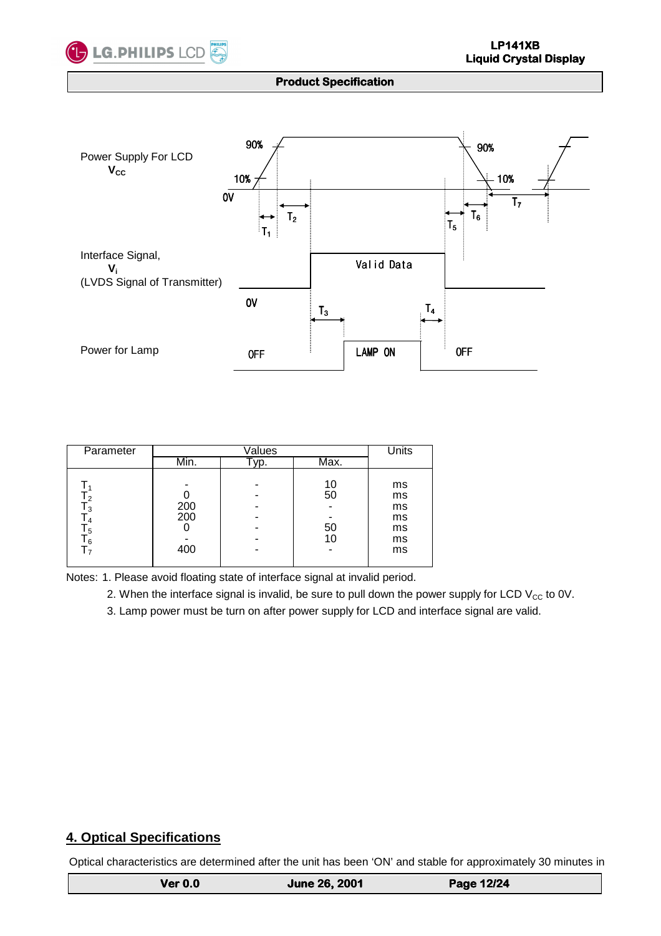



| Parameter                     |                   | Units |                                |                                        |
|-------------------------------|-------------------|-------|--------------------------------|----------------------------------------|
|                               | Min.              | D.    | Max.                           |                                        |
| 12<br>$^{\circ}$<br>5 ا<br>-6 | 200<br>200<br>400 | -     | 10<br>50<br>۰<br>50<br>10<br>- | ms<br>ms<br>ms<br>ms<br>ms<br>ms<br>ms |

Notes: 1. Please avoid floating state of interface signal at invalid period.

2. When the interface signal is invalid, be sure to pull down the power supply for LCD  $V_{CC}$  to 0V.

3. Lamp power must be turn on after power supply for LCD and interface signal are valid.

# **4. Optical Specifications**

L

Optical characteristics are determined after the unit has been 'ON' and stable for approximately 30 minutes in

| Ver 0.0 <sub>1</sub> | <b>June 26, 2001</b> | Page 12/24 |  |
|----------------------|----------------------|------------|--|
|----------------------|----------------------|------------|--|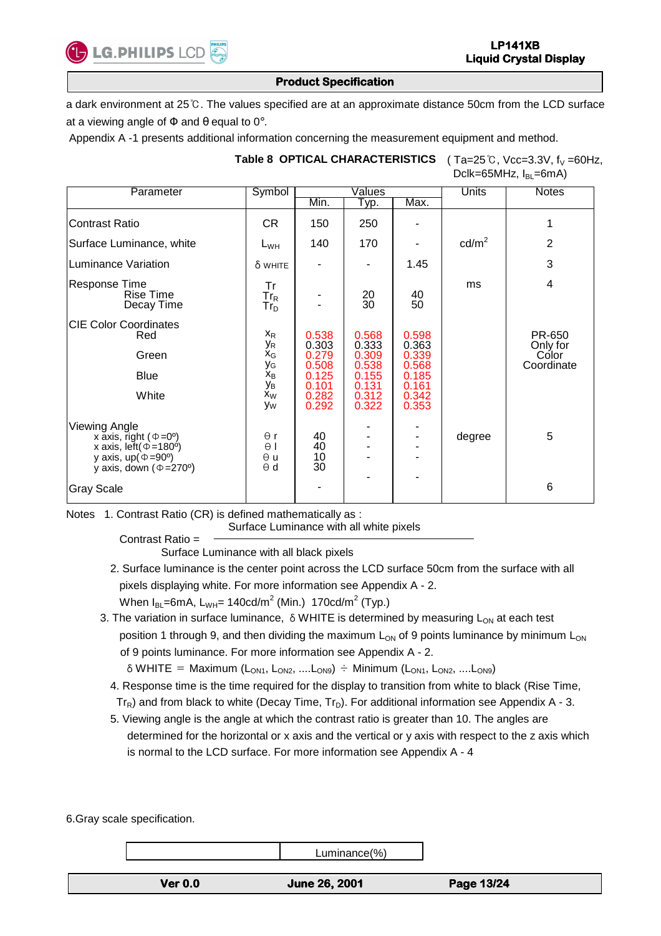

a dark environment at 25℃. The values specified are at an approximate distance 50cm from the LCD surface at a viewing angle of  $\Phi$  and  $\theta$  equal to 0°.

Appendix A -1 presents additional information concerning the measurement equipment and method.

**Table 8 OPTICAL CHARACTERISTICS** 

( Ta=25 ℃, Vcc=3.3V,  $f_V$  =60Hz, Dclk=65MHz,  $I_{BL}$ =6mA)

| Parameter<br>Symbol                                                                                                                                                       |                                                                                        |                                                                      | Values                                                               | Units                                                                | <b>Notes</b>    |                                           |
|---------------------------------------------------------------------------------------------------------------------------------------------------------------------------|----------------------------------------------------------------------------------------|----------------------------------------------------------------------|----------------------------------------------------------------------|----------------------------------------------------------------------|-----------------|-------------------------------------------|
|                                                                                                                                                                           |                                                                                        | Min.                                                                 | Typ.                                                                 | Max.                                                                 |                 |                                           |
| <b>Contrast Ratio</b>                                                                                                                                                     | <b>CR</b>                                                                              | 150                                                                  | 250                                                                  |                                                                      |                 | 1                                         |
| Surface Luminance, white                                                                                                                                                  | $L_{WH}$                                                                               | 140                                                                  | 170                                                                  |                                                                      | $\text{cd/m}^2$ | $\overline{2}$                            |
| Luminance Variation                                                                                                                                                       | δ white                                                                                |                                                                      |                                                                      | 1.45                                                                 |                 | 3                                         |
| Response Time<br><b>Rise Time</b><br>Decay Time                                                                                                                           | Tr<br>$\mathsf{Tr}_\mathsf{R}$<br>$\mathsf{Tr}_{\mathsf{D}}$                           |                                                                      | $\substack{20\\30}$                                                  | 40<br>50                                                             | ms              | 4                                         |
| <b>CIE Color Coordinates</b><br>Red<br>Green<br><b>Blue</b><br>White                                                                                                      | $X_R$<br>УR<br>$X_G$<br>УG<br>$X_{B}$<br>Ув<br>x <sub>W</sub><br><b>y</b> <sub>w</sub> | 0.538<br>0.303<br>0.279<br>0.508<br>0.125<br>0.101<br>0.282<br>0.292 | 0.568<br>0.333<br>0.309<br>0.538<br>0.155<br>0.131<br>0.312<br>0.322 | 0.598<br>0.363<br>0.339<br>0.568<br>0.185<br>0.161<br>0.342<br>0.353 |                 | PR-650<br>Only for<br>Cólor<br>Coordinate |
| <b>Viewing Angle</b><br>x axis, right ( $\Phi = 0^{\circ}$ )<br>x axis, left $(\Phi = 180^\circ)$<br>y axis, $up(\Phi = 90^\circ)$<br>y axis, down $(\Phi = 270^{\circ})$ | $\theta$ r<br>$\theta$  <br>$\Theta$ u<br>$\theta$ d                                   | 40<br>40<br>10 <sup>2</sup><br>30                                    |                                                                      |                                                                      | degree          | 5                                         |
| <b>Gray Scale</b>                                                                                                                                                         |                                                                                        |                                                                      |                                                                      |                                                                      |                 | 6                                         |

Notes 1. Contrast Ratio (CR) is defined mathematically as :

Surface Luminance with all white pixels

Contrast Ratio = Surface Luminance with all black pixels

2. Surface luminance is the center point across the LCD surface 50cm from the surface with all pixels displaying white. For more information see Appendix A - 2.

When  $I_{BL}$ =6mA,  $L_{WH}$ = 140cd/m<sup>2</sup> (Min.) 170cd/m<sup>2</sup> (Typ.)

3. The variation in surface luminance,  $\delta$  WHITE is determined by measuring  $L_{ON}$  at each test position 1 through 9, and then dividing the maximum  $L_{ON}$  of 9 points luminance by minimum  $L_{ON}$ of 9 points luminance. For more information see Appendix A - 2.

 $\delta$  WHITE = Maximum (L<sub>ON1</sub>, L<sub>ON2</sub>, ....L<sub>ON9</sub>) ÷ Minimum (L<sub>ON1</sub>, L<sub>ON2</sub>, ....L<sub>ON9</sub>)

- 4. Response time is the time required for the display to transition from white to black (Rise Time,  $Tr_R$ ) and from black to white (Decay Time,  $Tr_D$ ). For additional information see Appendix A - 3.
- 5. Viewing angle is the angle at which the contrast ratio is greater than 10. The angles are determined for the horizontal or x axis and the vertical or y axis with respect to the z axis which is normal to the LCD surface. For more information see Appendix A - 4

6.Gray scale specification.

L

Luminance(%)

| <b>Ver 0.0</b> | <b>June 26, 2001</b> | Page 13/24 |
|----------------|----------------------|------------|
|                |                      |            |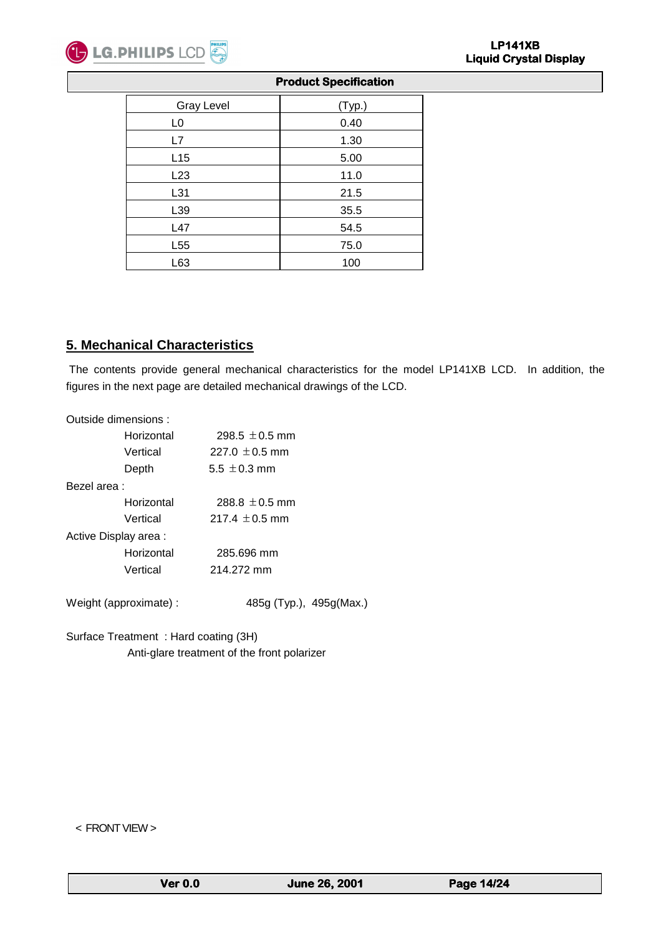

#### **LP141XB Liquid Crystal Display Liquid Crystal Display**

## **Product Specification**

| <b>Gray Level</b> | (Typ.) |
|-------------------|--------|
| L0                | 0.40   |
| L7                | 1.30   |
| L15               | 5.00   |
| L23               | 11.0   |
| L31               | 21.5   |
| L39               | 35.5   |
| L47               | 54.5   |
| L <sub>55</sub>   | 75.0   |
| L63               | 100    |

# **5. Mechanical Characteristics**

 The contents provide general mechanical characteristics for the model LP141XB LCD. In addition, the figures in the next page are detailed mechanical drawings of the LCD.

| Outside dimensions:   |            |                    |
|-----------------------|------------|--------------------|
|                       | Horizontal | 298.5 $\pm$ 0.5 mm |
|                       | Vertical   | 227.0 $\pm$ 0.5 mm |
|                       | Depth      | 5.5 $\pm$ 0.3 mm   |
| Bezel area :          |            |                    |
|                       | Horizontal | 288.8 $\pm$ 0.5 mm |
|                       | Vertical   | 217.4 $\pm$ 0.5 mm |
| Active Display area : |            |                    |
|                       | Horizontal | 285.696 mm         |
|                       | Vertical   | 214 272 mm         |
|                       |            |                    |

Weight (approximate) : 485g (Typ.), 495g (Max.)

Surface Treatment : Hard coating (3H) Anti-glare treatment of the front polarizer

< FRONT VIEW >

L

| <b>Ver 0.0</b> | <b>June 26, 2001</b> | <b>Page 14/24</b> |
|----------------|----------------------|-------------------|
|----------------|----------------------|-------------------|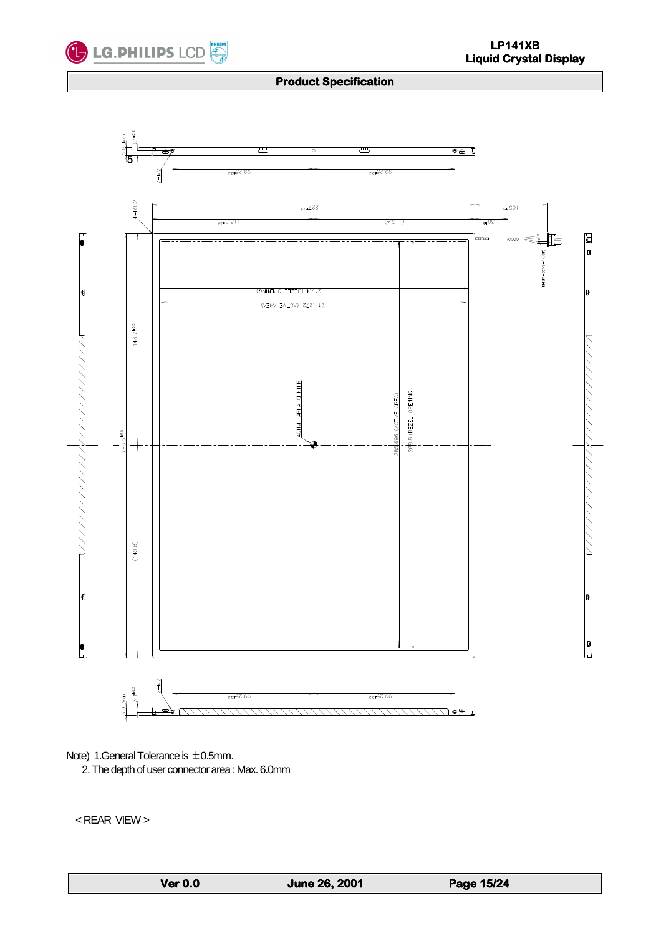

Note) 1.General Tolerance is  $\pm$  0.5mm.

2. The depth of user connector area : Max. 6.0mm

< REAR VIEW >

L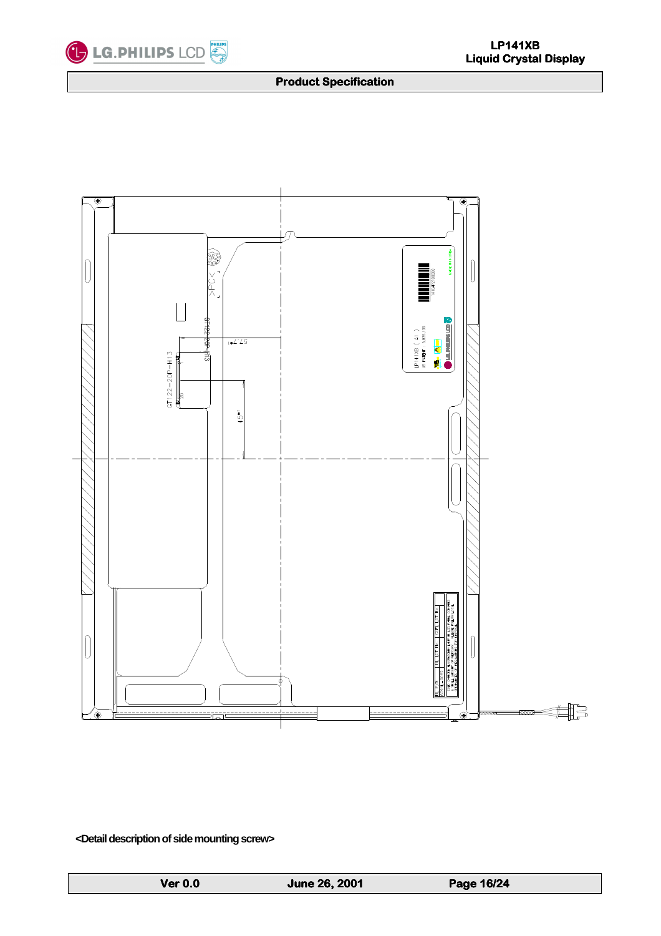



**<Detail description of side mounting screw>** 

L

| Ver 0.0 | <b>June 26, 2001</b> | Page 16/24 |
|---------|----------------------|------------|
|---------|----------------------|------------|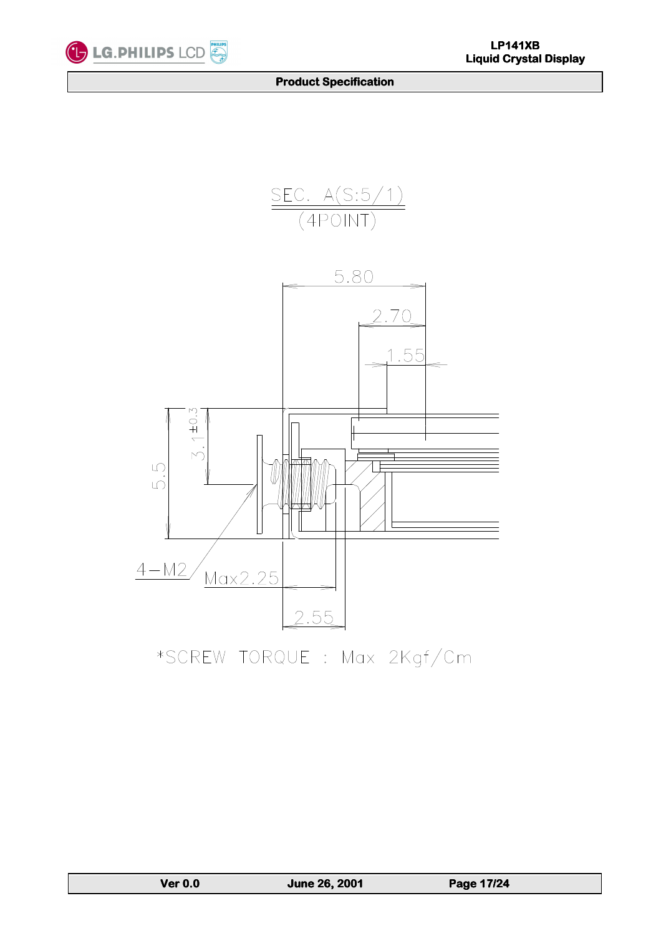





\*SCREW TORQUE : Max 2Kgf/Cm

L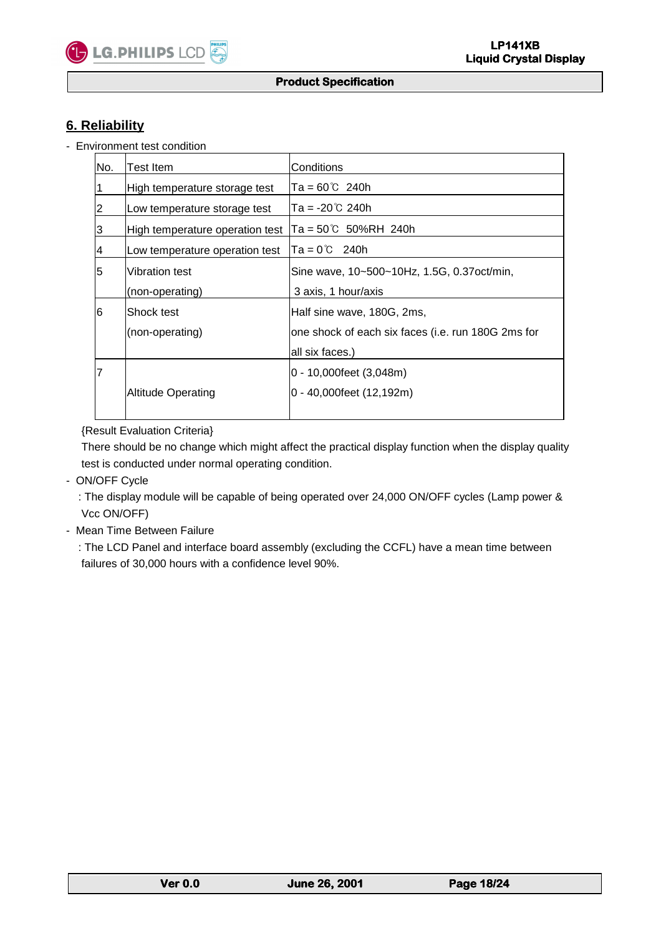# **6. Reliability**

X

- Environment test condition

| INo. | Test Item                       | Conditions                                         |
|------|---------------------------------|----------------------------------------------------|
|      | High temperature storage test   | lTa = 60℃  240h                                    |
|      | Low temperature storage test    | Ta = $-20^{\circ}$ C 240h                          |
| 3    | High temperature operation test | lTa = 50℃ 50%RH 240h                               |
| 4    | Low temperature operation test  | lTa = 0℃ 240h                                      |
| 5    | <b>Vibration test</b>           | Sine wave, 10~500~10Hz, 1.5G, 0.37oct/min,         |
|      | (non-operating)                 | 3 axis, 1 hour/axis                                |
| 6    | Shock test                      | Half sine wave, 180G, 2ms,                         |
|      | (non-operating)                 | one shock of each six faces (i.e. run 180G 2ms for |
|      |                                 | all six faces.)                                    |
| 7    |                                 | 0 - 10,000feet (3,048m)                            |
|      | <b>Altitude Operating</b>       | 0 - 40,000feet (12,192m)                           |
|      |                                 |                                                    |

{Result Evaluation Criteria}

 There should be no change which might affect the practical display function when the display quality test is conducted under normal operating condition.

- ON/OFF Cycle

L

 : The display module will be capable of being operated over 24,000 ON/OFF cycles (Lamp power & Vcc ON/OFF)

- Mean Time Between Failure

 : The LCD Panel and interface board assembly (excluding the CCFL) have a mean time between failures of 30,000 hours with a confidence level 90%.

| <b>Ver 0.0</b> | <b>June 26, 2001</b> | Page 18/24 |
|----------------|----------------------|------------|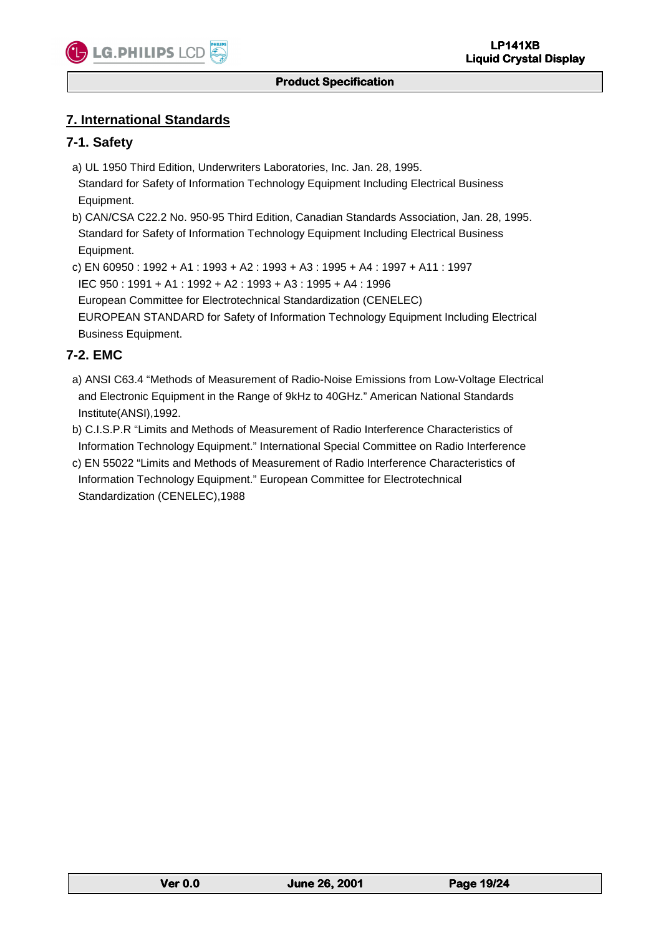

# **7. International Standards**

# **7-1. Safety**

- a) UL 1950 Third Edition, Underwriters Laboratories, Inc. Jan. 28, 1995. Standard for Safety of Information Technology Equipment Including Electrical Business Equipment.
- b) CAN/CSA C22.2 No. 950-95 Third Edition, Canadian Standards Association, Jan. 28, 1995. Standard for Safety of Information Technology Equipment Including Electrical Business Equipment.

 c) EN 60950 : 1992 + A1 : 1993 + A2 : 1993 + A3 : 1995 + A4 : 1997 + A11 : 1997 IEC 950 : 1991 + A1 : 1992 + A2 : 1993 + A3 : 1995 + A4 : 1996 European Committee for Electrotechnical Standardization (CENELEC)

 EUROPEAN STANDARD for Safety of Information Technology Equipment Including Electrical Business Equipment.

# **7-2. EMC**

- a) ANSI C63.4 "Methods of Measurement of Radio-Noise Emissions from Low-Voltage Electrical and Electronic Equipment in the Range of 9kHz to 40GHz." American National Standards Institute(ANSI),1992.
- b) C.I.S.P.R "Limits and Methods of Measurement of Radio Interference Characteristics of Information Technology Equipment." International Special Committee on Radio Interference
- c) EN 55022 "Limits and Methods of Measurement of Radio Interference Characteristics of Information Technology Equipment." European Committee for Electrotechnical Standardization (CENELEC),1988

L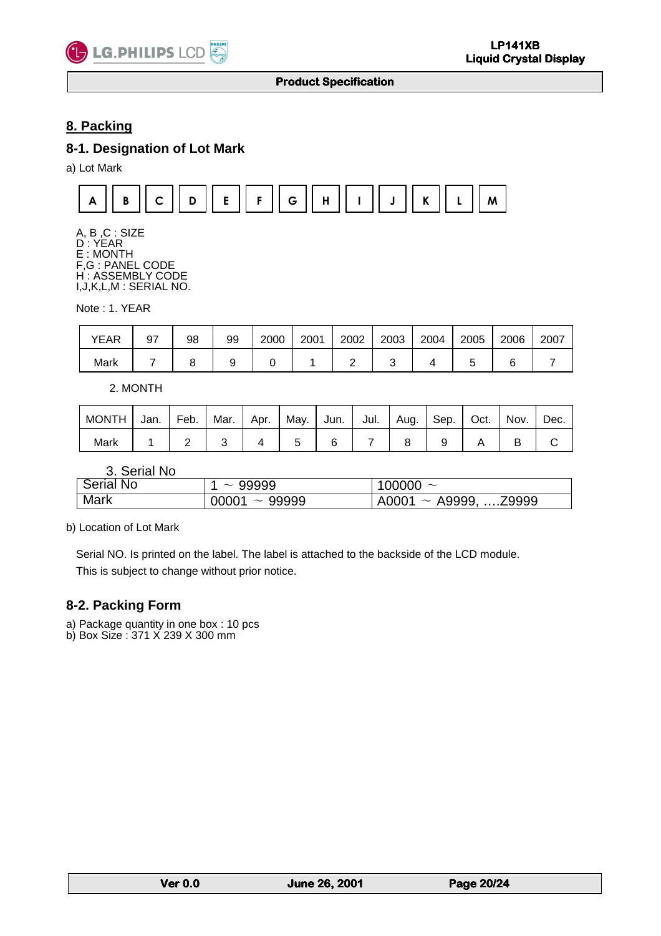

# **8. Packing**

# **8-1. Designation of Lot Mark**

a) Lot Mark



A, B ,C : SIZE D : YEAR E : MONTH F,G : PANEL CODE H : ASSEMBLY CODE I,J,K,L,M : SERIAL NO.

Note : 1. YEAR

| <b>YEAR</b> | 97 | 98 | 99 | 2000 | 2001 | 2002 | 2003 | 2004 | 2005 | 2006 | 2007 |
|-------------|----|----|----|------|------|------|------|------|------|------|------|
| Mark        |    |    |    |      |      |      |      |      |      |      |      |

2. MONTH

| <b>MONTH</b> | Jan. | Feb. | Mar. | $\mathsf{I}$ Apr. | ' May.   Jun.   Jul.   Aug.   Sep. |  | Oct. | Nov. | Dec. |
|--------------|------|------|------|-------------------|------------------------------------|--|------|------|------|
| Mark         |      |      |      |                   |                                    |  |      |      |      |

3. Serial No

| <b>Serial No</b> | $\sim$ 99999       | 100000 $\sim$                                   |
|------------------|--------------------|-------------------------------------------------|
| Mark             | $00001 \sim 99999$ | $^{\prime}$ A0001 $\,\sim\,$ A9999, $\,$ .Z9999 |

b) Location of Lot Mark

Serial NO. Is printed on the label. The label is attached to the backside of the LCD module. This is subject to change without prior notice.

# **8-2. Packing Form**

L

a) Package quantity in one box : 10 pcs

b) Box Size : 371 X 239 X 300 mm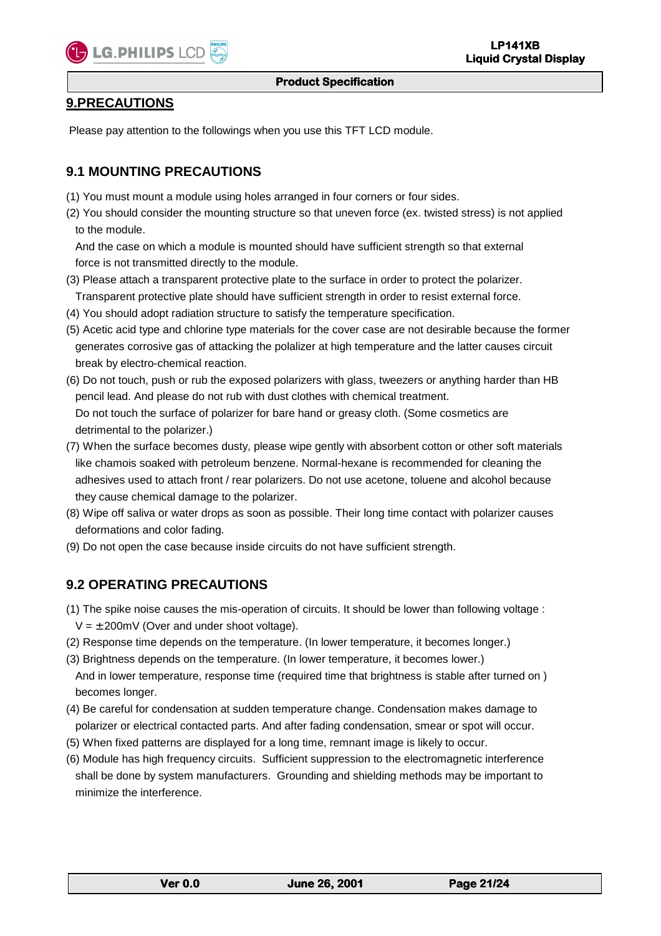

# **9.PRECAUTIONS**

Please pay attention to the followings when you use this TFT LCD module.

# **9.1 MOUNTING PRECAUTIONS**

- (1) You must mount a module using holes arranged in four corners or four sides.
- (2) You should consider the mounting structure so that uneven force (ex. twisted stress) is not applied to the module.

 And the case on which a module is mounted should have sufficient strength so that external force is not transmitted directly to the module.

- (3) Please attach a transparent protective plate to the surface in order to protect the polarizer. Transparent protective plate should have sufficient strength in order to resist external force.
- (4) You should adopt radiation structure to satisfy the temperature specification.
- (5) Acetic acid type and chlorine type materials for the cover case are not desirable because the former generates corrosive gas of attacking the polalizer at high temperature and the latter causes circuit break by electro-chemical reaction.
- (6) Do not touch, push or rub the exposed polarizers with glass, tweezers or anything harder than HB pencil lead. And please do not rub with dust clothes with chemical treatment. Do not touch the surface of polarizer for bare hand or greasy cloth. (Some cosmetics are detrimental to the polarizer.)
- (7) When the surface becomes dusty, please wipe gently with absorbent cotton or other soft materials like chamois soaked with petroleum benzene. Normal-hexane is recommended for cleaning the adhesives used to attach front / rear polarizers. Do not use acetone, toluene and alcohol because they cause chemical damage to the polarizer.
- (8) Wipe off saliva or water drops as soon as possible. Their long time contact with polarizer causes deformations and color fading.
- (9) Do not open the case because inside circuits do not have sufficient strength.

# **9.2 OPERATING PRECAUTIONS**

- (1) The spike noise causes the mis-operation of circuits. It should be lower than following voltage :  $V = \pm 200$  MV (Over and under shoot voltage).
- (2) Response time depends on the temperature. (In lower temperature, it becomes longer.)
- (3) Brightness depends on the temperature. (In lower temperature, it becomes lower.) And in lower temperature, response time (required time that brightness is stable after turned on) becomes longer.
- (4) Be careful for condensation at sudden temperature change. Condensation makes damage to polarizer or electrical contacted parts. And after fading condensation, smear or spot will occur.
- (5) When fixed patterns are displayed for a long time, remnant image is likely to occur.
- (6) Module has high frequency circuits. Sufficient suppression to the electromagnetic interference shall be done by system manufacturers. Grounding and shielding methods may be important to minimize the interference.

L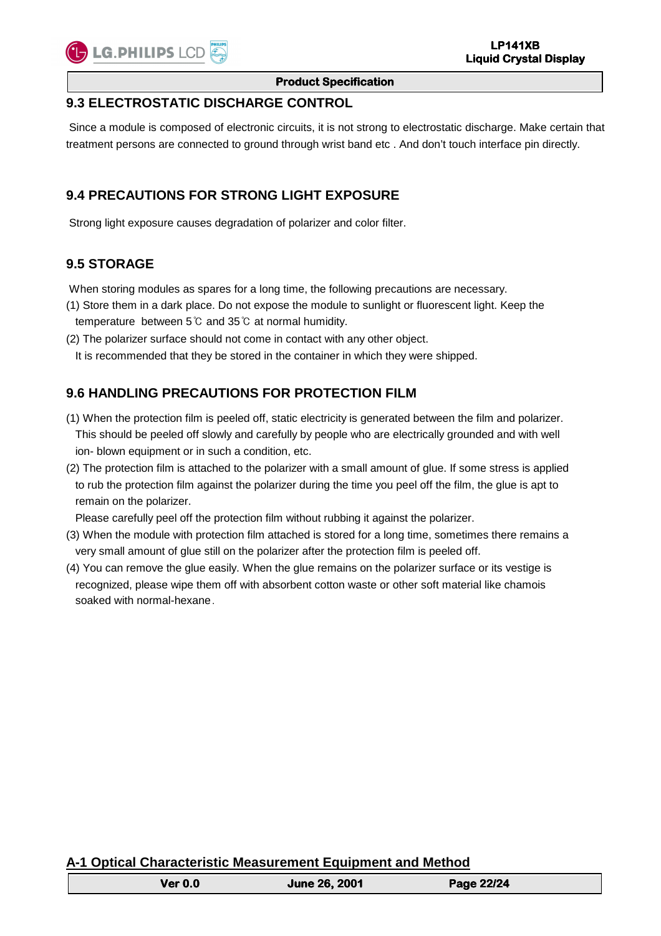X

#### **Product Specification**

## **9.3 ELECTROSTATIC DISCHARGE CONTROL**

 Since a module is composed of electronic circuits, it is not strong to electrostatic discharge. Make certain that treatment persons are connected to ground through wrist band etc . And don't touch interface pin directly.

## **9.4 PRECAUTIONS FOR STRONG LIGHT EXPOSURE**

Strong light exposure causes degradation of polarizer and color filter.

## **9.5 STORAGE**

When storing modules as spares for a long time, the following precautions are necessary.

- (1) Store them in a dark place. Do not expose the module to sunlight or fluorescent light. Keep the temperature between 5℃ and 35℃ at normal humidity.
- (2) The polarizer surface should not come in contact with any other object. It is recommended that they be stored in the container in which they were shipped.

# **9.6 HANDLING PRECAUTIONS FOR PROTECTION FILM**

- (1) When the protection film is peeled off, static electricity is generated between the film and polarizer. This should be peeled off slowly and carefully by people who are electrically grounded and with well ion- blown equipment or in such a condition, etc.
- (2) The protection film is attached to the polarizer with a small amount of glue. If some stress is applied to rub the protection film against the polarizer during the time you peel off the film, the glue is apt to remain on the polarizer.

Please carefully peel off the protection film without rubbing it against the polarizer.

- (3) When the module with protection film attached is stored for a long time, sometimes there remains a very small amount of glue still on the polarizer after the protection film is peeled off.
- (4) You can remove the glue easily. When the glue remains on the polarizer surface or its vestige is recognized, please wipe them off with absorbent cotton waste or other soft material like chamois soaked with normal-hexane.

# **A-1 Optical Characteristic Measurement Equipment and Method**

| <b>Ver 0.0</b> | <b>June 26, 2001</b> | Page 22/24 |
|----------------|----------------------|------------|
|                |                      |            |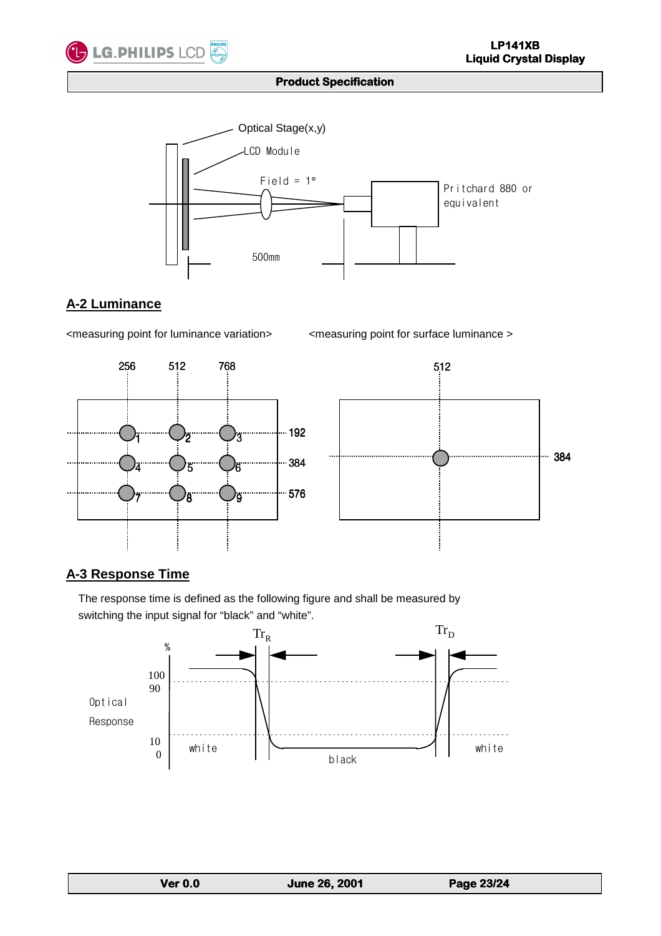



# **A-2 Luminance**

<measuring point for luminance variation> <measuring point for surface luminance >





# **A-3 Response Time**

L

 The response time is defined as the following figure and shall be measured by switching the input signal for "black" and "white".